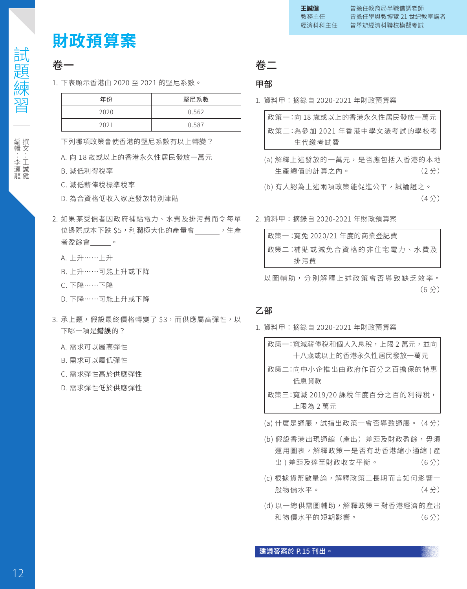# **財政預算案**

# 卷一

1. 下表顯示香港由 2020 至 2021 的堅尼系數。

| 年份   | 堅尼系數  |
|------|-------|
| 2020 | 0.562 |
| 2021 | 0.587 |

下列哪項政策會使香港的堅尼系數有以上轉變?

- A. 向 18 歲或以上的香港永久性居民發放一萬元
- B. 減低利得稅率
- C. 減低薪俸稅標準稅率
- D. 為合資格低收入家庭發放特別津貼
- 2. 如果某受價者因政府補貼電力、水費及排污費而令每單 位邊際成本下跌 \$5,利潤極大化的產量會 ,生產 者盈餘會 。
	- A. 上升……上升
	- B. 上升……可能上升或下降
	- C. 下降……下降
	- D. 下降……可能上升或下降
- 3. 承上題, 假設最終價格轉變了 \$3, 而供應屬高彈性, 以 下哪一項是錯誤的?
	- A. 需求可以屬高彈性
	- B. 需求可以屬低彈性
	- C. 需求彈性高於供應彈性
	- D. 需求彈性低於供應彈性

卷二

## 甲部

1. 資料甲:摘錄自 2020-2021 年財政預算案

| 政策一:向 18 歳或以上的香港永久性居民發放一萬元. |
|-----------------------------|
| 政策二:為參加 2021 年香港中學文憑考試的學校考  |
| 生代繳考試費                      |

- (a) 解釋上述發放的一萬元,是否應包括入香港的本地 生產總值的計算之內。 (2 分)
- (b) 有人認為上述兩項政策能促進公平,試論證之。 (4 分)
- 2. 資料甲:摘錄自 2020-2021 年財政預算案

| 政策一:寬免 2020/21 年度的商業登記費 |
|-------------------------|
| 政策二:補貼或減免合資格的非住宅電力、水費及  |
| 排污費                     |

以圖輔助,分別解釋上述政策會否導致缺乏效率。 (6 分)

# 乙部

- 1. 資料甲:摘錄自 2020-2021 年財政預算案
	- 政策一:寬減新俸稅和個人人思稅,上限 2 禺元,亚回 十八歲或以上的香港永久性居民發放一萬元
	- 政策二: 向中小企推出由政府作百分之百擔保的特惠 低息貸款
	- 政策三: 寬減 2019/20 課稅年度百分之百的利得稅, 上限為 2 萬元
	- (a) 什麼是通脹,試指出政策一會否導致通脹。 (4 分)
	- (b) 假設香港出現通縮(產出)差距及財政盈餘,毋須 運用圖表,解釋政策一是否有助香港縮小通縮 (產 出 ) 差距及達至財政收支平衡。 (6 分)
	- (c) 根據貨幣數量論,解釋政策二長期而言如何影響一 般物價水平。 (4 分)
	- (d) 以一總供需圖輔助,解釋政策三對香港經濟的產出 和物價水平的短期影響。 (6 分)

| 日疋 女応 习亡 | 編輯:李灝龍 編輯 : 李灝龍

試題練習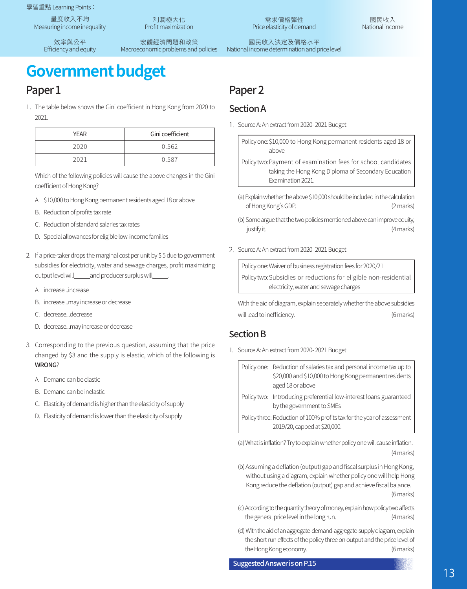學習重點 Learning Points:

量度收入不均 Measuring income inequality

> 效率與公平 Efficiency and equity

利潤極大化 Profit maximization

宏觀經濟問題和政策 Macroeconomic problems and policies

需求價格彈性 Price elasticity of demand

國民收入 National income

國民收入決定及價格水平 National income determination and price level

# **Government budget**

# Paper<sub>1</sub>

1. The table below shows the Gini coefficient in Hong Kong from 2020 to 2021.

| YFAR | Gini coefficient |
|------|------------------|
| 2020 | 0.562            |
| 2021 | 0.587            |

Which of the following policies will cause the above changes in the Gini coefficient of Hong Kong?

- A. \$10,000 to Hong Kong permanent residents aged 18 or above
- B. Reduction of profits tax rate
- C. Reduction of standard salaries tax rates
- D. Special allowances for eligible low-income families
- 2. If a price-taker drops the marginal cost per unit by \$ 5 due to government subsidies for electricity, water and sewage charges, profit maximizing output level will\_\_\_\_\_and producer surplus will\_
	- A. increase...increase
	- B. increase...may increase or decrease
	- C. decrease...decrease
	- D. decrease...may increase or decrease
- 3. Corresponding to the previous question, assuming that the price changed by \$3 and the supply is elastic, which of the following is WRONG?
	- A. Demand can be elastic
	- B. Demand can be inelastic
	- C. Elasticity of demand is higher than the elasticity of supply
	- D. Elasticity of demand is lower than the elasticity of supply

# Paper<sub>2</sub>

## SectionA

1. Source A: An extract from 2020- 2021 Budget

Policy one: \$10,000 to Hong Kong permanent residents aged 18 or above

- Policy two: Payment of examination fees for school candidates taking the Hong Kong Diploma of Secondary Education Examination 2021.
- (a) Explain whether the above \$10,000 should be included in the calculation of Hong Kong's GDP. (2 marks)
- (b) Some argue that the two policies mentioned above can improve equity, justify it. (4 marks)
- 2. Source A: An extract from 2020- 2021 Budget

Policy one: Waiver of business registration fees for 2020/21 Policy two: Subsidies or reductions for eligible non-residential electricity, water and sewage charges

With the aid of diagram, explain separately whether the above subsidies will lead to inefficiency.  $(6 \text{ marks})$ 

# **Section B**

1. Source A: An extract from 2020- 2021 Budget

Policy one: Reduction of salaries tax and personal income tax up to \$20,000 and \$10,000 to Hong Kong permanent residents aged 18 or above

- Policy two: Introducing preferential low-interest loans guaranteed by the government to SMEs
- Policy three: Reduction of 100% profits tax for the year of assessment 2019/20, capped at \$20,000.

(a) What is inflation? Try to explain whether policy one will cause inflation. (4 marks)

(b) Assuming a deflation (output) gap and fiscal surplus in Hong Kong, without using a diagram, explain whether policy one will help Hong Kong reduce the deflation (output) gap and achieve fiscal balance.

(6 marks)

- (c) According to the quantity theory of money, explain how policy two affects the general price level in the long run. (4 marks)
- (d) With the aid of an aggregate-demand-aggregate-supply diagram, explain the short run effects of the policy three on output and the price level of the Hong Kong economy. (6 marks)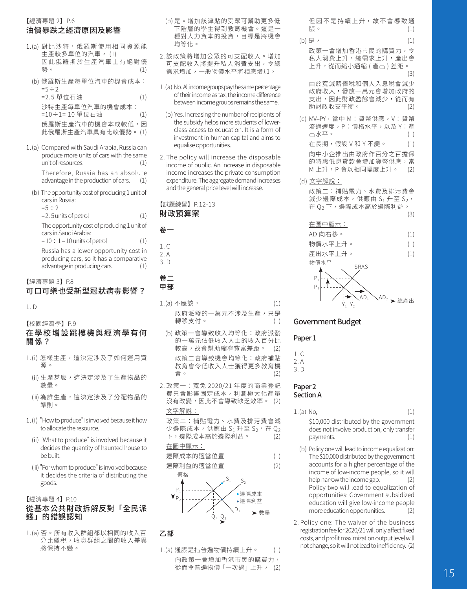## 【經濟專題 2】P.6 油價暴跌之經濟原因及影響

- 1.(a) 對比沙特,俄羅斯使用相同資源能 生產較多單位的汽車, (1) 因此俄羅斯於生產汽車上有絕對優 勢。 (1)
- (b) 俄羅斯生產每單位汽車的機會成本:  $=5 \div 2$ =2.5 單位石油 (1)
	- 沙特生產每單位汽車的機會成本: =10÷1= 10 單位石油 (1) 俄羅斯生產汽車的機會本成較低,因
	- 此俄羅斯生產汽車具有比較優勢。 (1)
- 1.(a) Compared with Saudi Arabia, Russia can produce more units of cars with the same unit of resources. (1) Therefore, Russia has an absolute<br>advantage in the production of cars. (1) advantage in the production of cars.
	- (b) The opportunity cost of producing 1 unit of cars in Russia:

 $=5 \div 2$ 

=2.5units of petrol (1)

The opportunity cost of producing 1 unit of cars in Saudi Arabia:

 $= 10 \div 1 = 10$  units of petrol  $(1)$ Russia has a lower opportunity cost in producing cars, so it has a comparative advantage in producing cars.

- 【經濟專題 3】P.8 可口可樂也受新型冠狀病毒影響?
- 1. D

【校園經濟學】P.9

#### 在學校增設跳樓機與經濟學有何 關係?

- 1.(i) 怎樣生產,這決定涉及了如何運用資 源 。
	- (ii) 生產甚麼,這決定涉及了生產物品的 數量。
	- (iii) 為誰生產,這決定涉及了分配物品的 準則。
- 1.(i) "How to produce" is involved because it how to allocate the resource.
	- (ii) "What to produce" is involved because it decides the quantity of haunted house to be built.
	- (iii) "For whom to produce" is involved because it decides the criteria of distributing the goods.

#### 【經濟專題 4】P.10

#### 從基本公共財政拆解反對「全民派 錢」的錯誤認知

1.(a) 否。所有收入群組都以相同的收入百 分比繳稅,收息群組之間的收入差異 將保持不變。

- (b) 是。增加該津貼的受眾可幫助更多低 下階層的學生得到教育機會。這是一 種對人力資本的投資,目標是將機會 均等化。
- 2. 該政策將增加公眾的可支配收入。增加 可支配收入將提升私人消費支出,令總 需求增加,一般物價水平將相應增加。
- 1.(a) No. All income groups pay the same percentage of their income as tax, the income difference between income groups remains the same.
- (b) Yes. Increasing the number of recipients of the subsidy helps more students of lowerclass access to education. It is a form of investment in human capital and aims to equalise opportunities.
- 2. The policy will increase the disposable income of public. An increase in disposable income increases the private consumption expenditure. The aggregate demand increases and the general price level will increase.



## 卷一

- $1 \, \cap$
- $2A$ 3. D

#### 卷二 甲部

- 1.(a) 不應該, (1) 政府派發的一萬元不涉及生產,只是 轉移支付。 (1)
	- (b) 政策一會導致收入均等化:政府派發 的一萬元佔低收入人士的收入百分比<br>較高,故會幫助縮窄貧富差距。 (2) 較高,故會幫助縮窄貧富差距。 政策二會導致機會均等化:政府補貼 教育會令低收入人士獲得更多教育機 **曾。** (2)
- 2. 政策一:寬免 2020/21 年度的商業登記 費只會影響固定成本,利潤極大化產量 沒有改變,因此不會導致缺乏效率。 (2) 文字解說:
	- 政策二:補貼電力、水費及排污費會減 少邊際成本,供應由 S<sub>1</sub> 升至 S<sub>2</sub>,在 Q<sub>2</sub><br>下,邊際成本高於邊際利益。 (2) 下,邊際成本高於邊際利益。

#### 在圖中顯示:

邊際成本的適當位置 (1) 邊際利益的適當位置 (2)





#### 乙部

1.(a) 通脹是指普遍物價持續上升。 (1) 向政策一會增加香港市民的購買力, 從而令普遍物價「一次過」上升, (2) 但 因 不 是 持 續 上 升, 故 不 會 導 致 通 脹。 (1)

(b) 是, (1) 政策一會增加香港市民的購買力,令 私人消費上升,總需求上升,產出會 上升,從而縮小通縮 ( 產出 ) 差距。  $(3)$ 由於寬減薪俸稅和個人入息稅會減少

政府收入,發放一萬元會增加政府的 支出,因此財政盈餘會減少,從而有 助財政收支平衡。

- (c) MV=PY,當中 M:貨幣供應,V:貨幣 流通速度,P:價格水平,以及 Y:產<br>出水平。 出水平。 在長期,假設 V 和 Y 不變。 (1) 向中小企推出由政府作百分之百擔保 的特惠低息貸款會增加貨幣供應,當<br>M 上升,P 會以相同幅度上升。 (2) M 上升,P 會以相同幅度上升。
- (d) 文字解說: 政策二:補貼電力、水費及排污費會 減少邊際成本,供應由  $S_1$ 升至  $S_2$ , 在 Q2 下,邊際成本高於邊際利益。





#### Government Budget

#### Paper<sub>1</sub>

1. C

- 2. A
- 3. D

#### Paper<sub>2</sub> Section A

- 1.(a) No, (1) \$10,000 distributed by the government does not involve production, only transfer<br>payments. (1) payments.
- (b) Policy one will lead to income equalization: The \$10,000 distributed by the government accounts for a higher percentage of the income of low-income people, so it will<br>help narrow the income gap. (2) help narrow the income gap. Policy two will lead to equalization of opportunities: Government subsidized education will give low-income people more education opportunities.
- 2. Policy one: The waiver of the business registration fee for 2020/21 will only affect fixed costs, and profit maximization output level will not change, so it will not lead to inefficiency. (2)